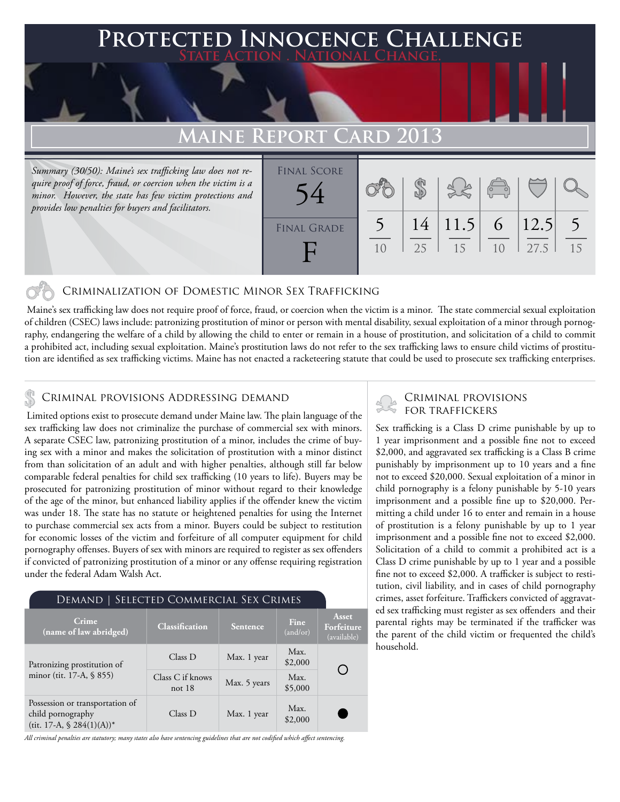# **FED INNOCENCE CHALLENGE State Action . National Change.**

## **Maine Report Card 2013**

*Summary (30/50): Maine's sex trafficking law does not require proof of force, fraud, or coercion when the victim is a minor. However, the state has few victim protections and provides low penalties for buyers and facilitators.*

| <b>FINAL SCORE</b> |                |    |      | $\sqrt{2}$     |          |    |
|--------------------|----------------|----|------|----------------|----------|----|
| <b>FINAL GRADE</b> |                | 14 | 11.5 |                | 6   12.5 |    |
|                    | 1 <sub>0</sub> | 25 | 15   | 1 <sub>0</sub> | 27.5     | 15 |

### Criminalization of Domestic Minor Sex Trafficking

 Maine's sex trafficking law does not require proof of force, fraud, or coercion when the victim is a minor. The state commercial sexual exploitation of children (CSEC) laws include: patronizing prostitution of minor or person with mental disability, sexual exploitation of a minor through pornography, endangering the welfare of a child by allowing the child to enter or remain in a house of prostitution, and solicitation of a child to commit a prohibited act, including sexual exploitation. Maine's prostitution laws do not refer to the sex trafficking laws to ensure child victims of prostitution are identified as sex trafficking victims. Maine has not enacted a racketeering statute that could be used to prosecute sex trafficking enterprises.

## CRIMINAL PROVISIONS ADDRESSING DEMAND<br>I initial options arist to processure demand under Mains law. The plain language of the SCR TRAFFICKERS

 Limited options exist to prosecute demand under Maine law. The plain language of the sex trafficking law does not criminalize the purchase of commercial sex with minors. A separate CSEC law, patronizing prostitution of a minor, includes the crime of buying sex with a minor and makes the solicitation of prostitution with a minor distinct from than solicitation of an adult and with higher penalties, although still far below comparable federal penalties for child sex trafficking (10 years to life). Buyers may be prosecuted for patronizing prostitution of minor without regard to their knowledge of the age of the minor, but enhanced liability applies if the offender knew the victim was under 18. The state has no statute or heightened penalties for using the Internet to purchase commercial sex acts from a minor. Buyers could be subject to restitution for economic losses of the victim and forfeiture of all computer equipment for child pornography offenses. Buyers of sex with minors are required to register as sex offenders if convicted of patronizing prostitution of a minor or any offense requiring registration under the federal Adam Walsh Act.

| DEMAND   SELECTED COMMERCIAL SEX CRIMES                                               |                              |              |                  |                                    |  |  |  |  |
|---------------------------------------------------------------------------------------|------------------------------|--------------|------------------|------------------------------------|--|--|--|--|
| Crime<br>(name of law abridged)                                                       | Classification               | Sentence     | Fine<br>(and/or) | Asset<br>Forfeiture<br>(available) |  |  |  |  |
| Patronizing prostitution of                                                           | Class D                      | Max. 1 year  | Max.<br>\$2,000  |                                    |  |  |  |  |
| minor (tit. 17-A, § 855)                                                              | Class C if knows<br>not $18$ | Max. 5 years | Max.<br>\$5,000  |                                    |  |  |  |  |
| Possession or transportation of<br>child pornography<br>(tit. 17-A, $\$ 284(1)(A))^*$ | Class D                      | Max. 1 year  | Max.<br>\$2,000  |                                    |  |  |  |  |

*All criminal penalties are statutory; many states also have sentencing guidelines that are not codified which affect sentencing.* 

Sex trafficking is a Class D crime punishable by up to 1 year imprisonment and a possible fine not to exceed \$2,000, and aggravated sex trafficking is a Class B crime punishably by imprisonment up to 10 years and a fine not to exceed \$20,000. Sexual exploitation of a minor in child pornography is a felony punishable by 5-10 years imprisonment and a possible fine up to \$20,000. Permitting a child under 16 to enter and remain in a house of prostitution is a felony punishable by up to 1 year imprisonment and a possible fine not to exceed \$2,000. Solicitation of a child to commit a prohibited act is a Class D crime punishable by up to 1 year and a possible fine not to exceed \$2,000. A trafficker is subject to restitution, civil liability, and in cases of child pornography crimes, asset forfeiture. Traffickers convicted of aggravated sex trafficking must register as sex offenders and their parental rights may be terminated if the trafficker was the parent of the child victim or frequented the child's household.